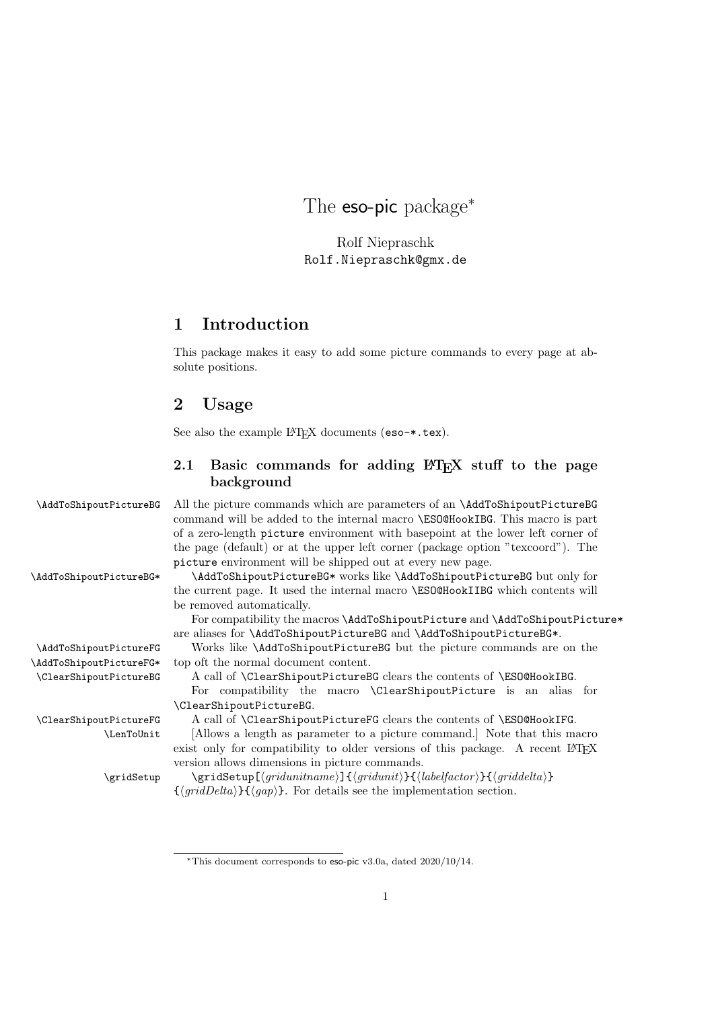The **eso-pic** package<sup>\*</sup>

Rolf Niepraschk Rolf.Niepraschk@gmx.de

## 1 Introduction

This package makes it easy to add some picture commands to every page at absolute positions.

## 2 Usage

See also the example LAT<sub>E</sub>X documents (eso-\*.tex).

### 2.1 Basic commands for adding  $\mathbb{P}\mathbb{F}X$  stuff to the page background

\AddToShipoutPictureBG All the picture commands which are parameters of an \AddToShipoutPictureBG command will be added to the internal macro \ESO@HookIBG. This macro is part of a zero-length picture environment with basepoint at the lower left corner of the page (default) or at the upper left corner (package option "texcoord"). The picture environment will be shipped out at every new page.

\AddToShipoutPictureBG\* \AddToShipoutPictureBG\* works like \AddToShipoutPictureBG but only for the current page. It used the internal macro \ESO@HookIIBG which contents will be removed automatically.

> For compatibility the macros \AddToShipoutPicture and \AddToShipoutPicture\* are aliases for \AddToShipoutPictureBG and \AddToShipoutPictureBG\*.

\AddToShipoutPictureFG Works like \AddToShipoutPictureBG but the picture commands are on the \AddToShipoutPictureFG\* top oft the normal document content.

\ClearShipoutPictureBG A call of \ClearShipoutPictureBG clears the contents of \ESO@HookIBG. For compatibility the macro \ClearShipoutPicture is an alias for \ClearShipoutPictureBG.

\ClearShipoutPictureFG A call of \ClearShipoutPictureFG clears the contents of \ESO@HookIFG.

\LenToUnit [Allows a length as parameter to a picture command.] Note that this macro exist only for compatibility to older versions of this package. A recent LAT<sub>EX</sub> version allows dimensions in picture commands.

 $\langle$ gridSetup  $\{qridSetup[\sqrt{qridunit}]\}\{\langle abelfactor\rangle\}\{\langle griddelta\rangle\}$  ${\lbrace \langle gridDelta \rangle \rbrace \lbrace \langle gap \rangle \rbrace}$ . For details see the implementation section.

<sup>∗</sup>This document corresponds to eso-pic v3.0a, dated 2020/10/14.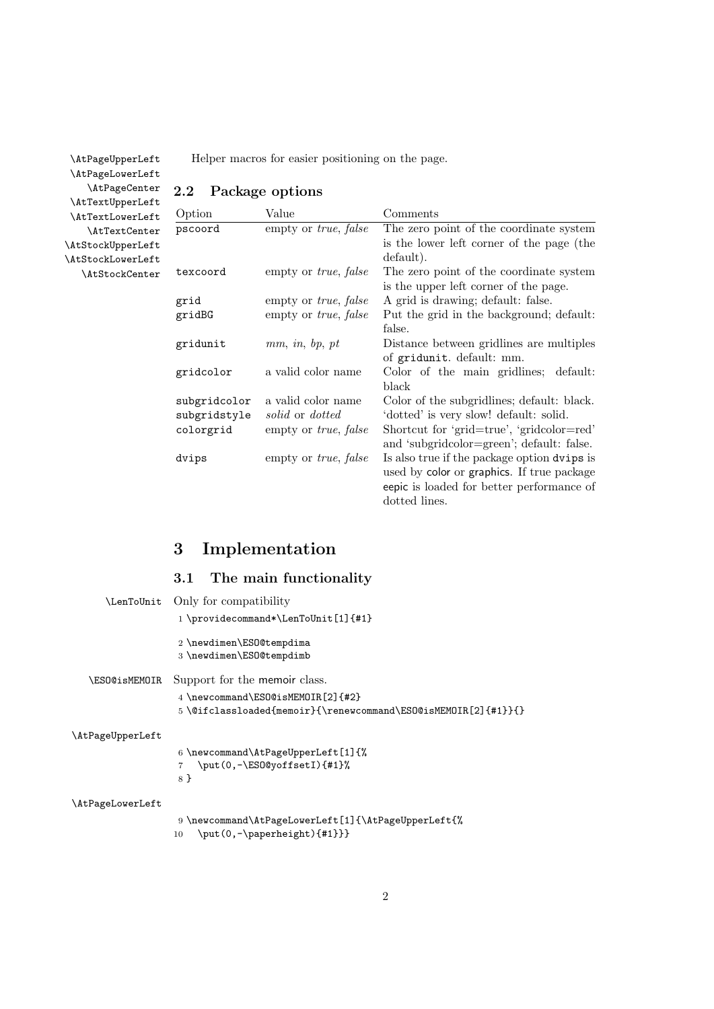\AtPageUpperLeft Helper macros for easier positioning on the page.

2.2 Package options

\AtPageLowerLeft \AtPageCenter \AtTextUpperLeft \AtTextLowerLeft \AtTextCenter \AtStockUpperLeft \AtStockLowerLeft \AtStockCenter

| Option       | Value                               | Comments                                    |
|--------------|-------------------------------------|---------------------------------------------|
| pscoord      | empty or <i>true</i> , <i>false</i> | The zero point of the coordinate system     |
|              |                                     | is the lower left corner of the page (the   |
|              |                                     | default).                                   |
| texcoord     | empty or <i>true</i> , <i>false</i> | The zero point of the coordinate system     |
|              |                                     | is the upper left corner of the page.       |
| grid         | empty or <i>true</i> , <i>false</i> | A grid is drawing; default: false.          |
| gridBG       | empty or <i>true</i> , <i>false</i> | Put the grid in the background; default:    |
|              |                                     | false.                                      |
| gridunit     | mm, in, bp, pt                      | Distance between gridlines are multiples    |
|              |                                     | of gridunit. default: mm.                   |
| gridcolor    | a valid color name                  | Color of the main gridlines; default:       |
|              |                                     | black                                       |
| subgridcolor | a valid color name                  | Color of the subgridlines; default: black.  |
| subgridstyle | solid or dotted                     | 'dotted' is very slow! default: solid.      |
| colorgrid    | empty or <i>true</i> , <i>false</i> | Shortcut for 'grid=true', 'gridcolor=red'   |
|              |                                     | and 'subgridcolor=green'; default: false.   |
| dvips        | empty or <i>true</i> , <i>false</i> | Is also true if the package option dvips is |
|              |                                     | used by color or graphics. If true package  |
|              |                                     | eepic is loaded for better performance of   |

dotted lines.

# 3 Implementation

# 3.1 The main functionality

|                  | \LenToUnit Only for compatibility                                                                  |
|------------------|----------------------------------------------------------------------------------------------------|
|                  | 1 \providecommand*\LenToUnit[1]{#1}                                                                |
|                  | 2 \newdimen\ES0@tempdima<br>3 \newdimen\ES0@tempdimb                                               |
| \ESO@isMEMOIR    | Support for the memoir class.                                                                      |
|                  | 4 \newcommand\ESO@isMEMOIR[2]{#2}<br>5\@ifclassloaded{memoir}{\renewcommand\ESO@isMEMOIR[2]{#1}}{} |
| \AtPageUpperLeft |                                                                                                    |
|                  | 6 \newcommand\AtPageUpperLeft[1]{%                                                                 |
|                  | \put(0,-\ES0@yoffsetI){#1}%<br>8 }                                                                 |
| \AtPageLowerLeft |                                                                                                    |
|                  | 9 \newcommand\AtPageLowerLeft[1]{\AtPageUpperLeft{%<br>$\put(0, -\pmb{\neq} \{ \#1 \} \}$<br>10    |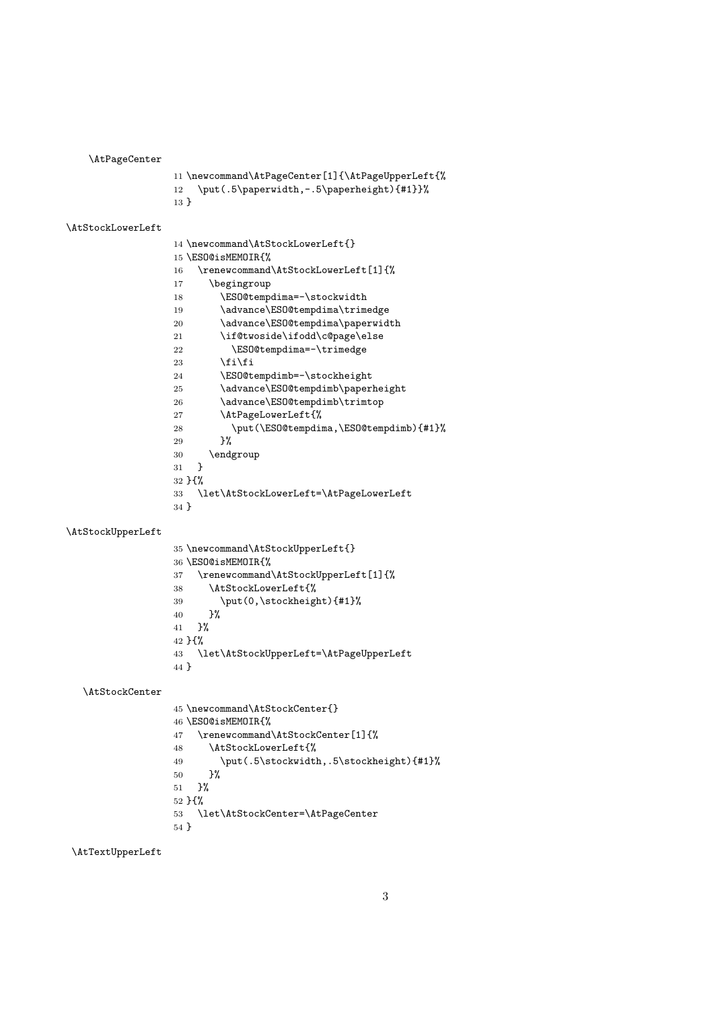\AtPageCenter

```
11 \newcommand\AtPageCenter[1]{\AtPageUpperLeft{%
12 \put(.5\paperwidth,-.5\paperheight){#1}}%
13 }
```
\AtStockLowerLeft

 \newcommand\AtStockLowerLeft{} \ESO@isMEMOIR{% \renewcommand\AtStockLowerLeft[1]{% \begingroup 18 \ESO@tempdima=-\stockwidth 19 \advance\ESO@tempdima\trimedge 20 \advance\ESO@tempdima\paperwidth 21 \if@twoside\ifodd\c@page\else 22 \ESO@tempdima=-\trimedge 23  $\ifmmode \text{if}_i\else$  \tilfi \ESO@tempdimb=-\stockheight 25 \advance\ESO@tempdimb\paperheight 26 \advance\ESO@tempdimb\trimtop<br>27 \AtPageLowerLeft{% \AtPageLowerLeft{% \put(\ESO@tempdima,\ESO@tempdimb){#1}% 29 }% \endgroup } }{% \let\AtStockLowerLeft=\AtPageLowerLeft }

\AtStockUpperLeft

```
35 \newcommand\AtStockUpperLeft{}
36 \ESO@isMEMOIR{%
37 \renewcommand\AtStockUpperLeft[1]{%
38 \AtStockLowerLeft{%
39 \put(0,\stockheight){#1}%
40 }%
41 }%
42 }{%
43 \let\AtStockUpperLeft=\AtPageUpperLeft
44 }
```
\AtStockCenter

```
45 \newcommand\AtStockCenter{}
46 \ESO@isMEMOIR{%
47 \renewcommand\AtStockCenter[1]{%
48 \AtStockLowerLeft{%
49 \put(.5\stockwidth,.5\stockheight){#1}%
50 }%
51 }%
52 }{%
53 \let\AtStockCenter=\AtPageCenter
54 }
```
\AtTextUpperLeft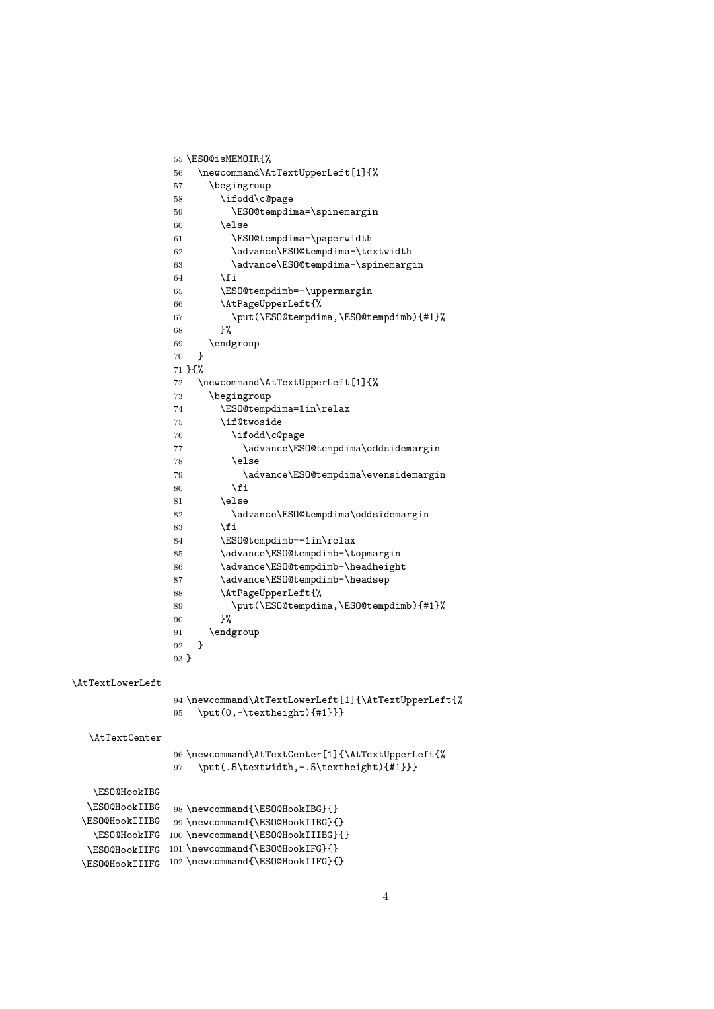55 \ESO@isMEMOIR{% 56 \newcommand\AtTextUpperLeft[1]{% 57 \begingroup 58 \ifodd\c@page 59 \ESO@tempdima=\spinemargin 60 \else 61 \ESO@tempdima=\paperwidth 62 \advance\ESO@tempdima-\textwidth 63 \advance\ESO@tempdima-\spinemargin 64 \fi 65 \ESO@tempdimb=-\uppermargin 66 \AtPageUpperLeft{% 67 \put(\ESO@tempdima,\ESO@tempdimb){#1}% 68 }% 69  $\end{group}$ <br>70 }  $70 \,$ 71 }{% 72 \newcommand\AtTextUpperLeft[1]{% 73 \begingroup 74 \ESO@tempdima=1in\relax 75 \if@twoside 76 \ifodd\c@page 77 \advance\ESO@tempdima\oddsidemargin 78 \else 79 \advance\ESO@tempdima\evensidemargin 80  $\setminus$ fi 81 \else 82 \advance\ESO@tempdima\oddsidemargin  $83 \overline{\phantom{a}}$  \fi 84 \ESO@tempdimb=-1in\relax 85 \advance\ESO@tempdimb-\topmargin 86 \advance\ESO@tempdimb-\headheight 87 \advance\ESO@tempdimb-\headsep 88 \AtPageUpperLeft{% 89 \put(\ESO@tempdima,\ESO@tempdimb){#1}% 90 }% 91 \endgroup 92 } 93 } \AtTextLowerLeft 94 \newcommand\AtTextLowerLeft[1]{\AtTextUpperLeft{% 95 \put(0,-\textheight){#1}}} \AtTextCenter 96 \newcommand\AtTextCenter[1]{\AtTextUpperLeft{% 97 \put(.5\textwidth,-.5\textheight){#1}}} \ESO@HookIBG \ESO@HookIIBG \ESO@HookIIIBG \ESO@HookIFG 100 \newcommand{\ESO@HookIIIBG}{} \ESO@HookIIFG 101 \newcommand{\ESO@HookIFG}{} \ESO@HookIIIFG 102 \newcommand{\ESO@HookIIFG}{} 98 \newcommand{\ESO@HookIBG}{} 99 \newcommand{\ESO@HookIIBG}{}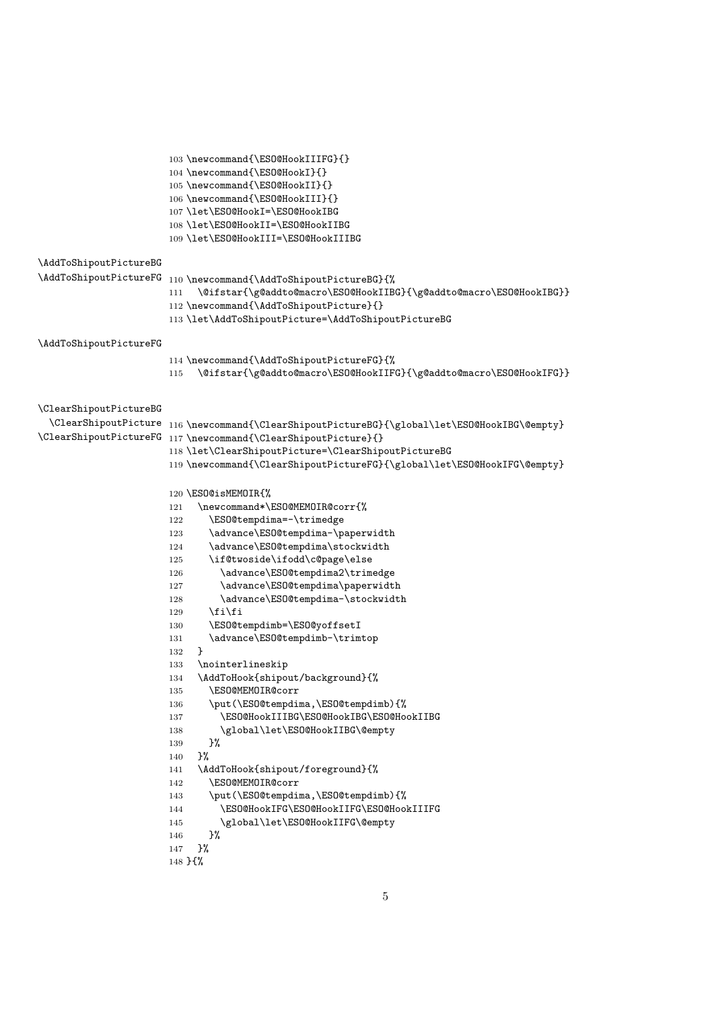```
103 \newcommand{\ESO@HookIIIFG}{}
                      104 \newcommand{\ESO@HookI}{}
                      105 \newcommand{\ESO@HookII}{}
                      106 \newcommand{\ESO@HookIII}{}
                      107 \let\ESO@HookI=\ESO@HookIBG
                      108 \let\ESO@HookII=\ESO@HookIIBG
                      109 \let\ESO@HookIII=\ESO@HookIIIBG
\AddToShipoutPictureBG
\AddToShipoutPictureFG 110 \newcommand{\AddToShipoutPictureBG}{%
                      111 \@ifstar{\g@addto@macro\ESO@HookIIBG}{\g@addto@macro\ESO@HookIBG}}
                      112 \newcommand{\AddToShipoutPicture}{}
                      113 \let\AddToShipoutPicture=\AddToShipoutPictureBG
\AddToShipoutPictureFG
                      114 \newcommand{\AddToShipoutPictureFG}{%
                      115 \@ifstar{\g@addto@macro\ESO@HookIIFG}{\g@addto@macro\ESO@HookIFG}}
\ClearShipoutPictureBG
  \ClearShipoutPicture
116 \newcommand{\ClearShipoutPictureBG}{\global\let\ESO@HookIBG\@empty}
\ClearShipoutPictureFG
117 \newcommand{\ClearShipoutPicture}{}
                      118 \let\ClearShipoutPicture=\ClearShipoutPictureBG
                      119 \newcommand{\ClearShipoutPictureFG}{\global\let\ESO@HookIFG\@empty}
                      120 \ESO@isMEMOIR{%
                      121 \newcommand*\ESO@MEMOIR@corr{%
                      122 \ESO@tempdima=-\trimedge
                      123 \advance\ESO@tempdima-\paperwidth
                      124 \advance\ESO@tempdima\stockwidth
                      125 \if@twoside\ifodd\c@page\else
                      126 \advance\ESO@tempdima2\trimedge
                      127 \advance\ESO@tempdima\paperwidth
                      128 \advance\ESO@tempdima-\stockwidth
                      129 \fi\fi
                      130 \ESO@tempdimb=\ESO@yoffsetI
                      131 \advance\ESO@tempdimb-\trimtop
                      132 }
                      133 \nointerlineskip
                      134 \AddToHook{shipout/background}{%
                      135 \ESO@MEMOIR@corr
                      136 \put(\ESO@tempdima,\ESO@tempdimb){%
                      137 \ESO@HookIIIBG\ESO@HookIBG\ESO@HookIIBG
                      138 \global\let\ESO@HookIIBG\@empty
                      139 }%
                      140 \frac{1}{2}141 \AddToHook{shipout/foreground}{%
                      142 \ESO@MEMOIR@corr
                      143 \put(\ESO@tempdima,\ESO@tempdimb){%
                      144 \ESO@HookIFG\ESO@HookIIFG\ESO@HookIIIFG
                      145 \global\let\ESO@HookIIFG\@empty
                      146 }%
                      147 }%
                      148 }{%
```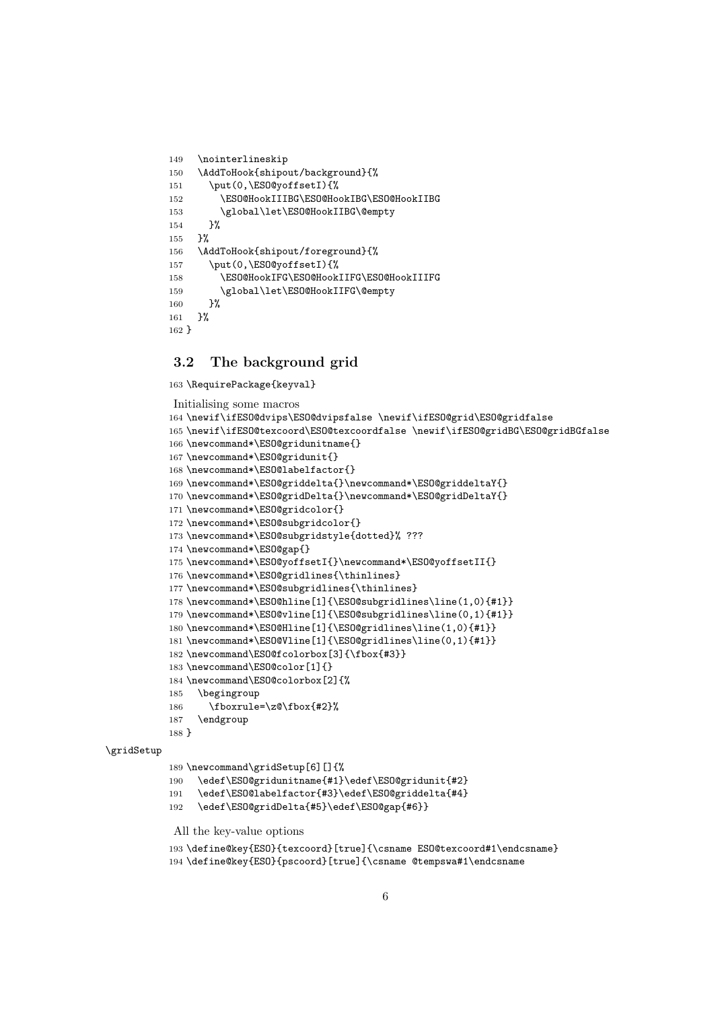```
149 \nointerlineskip
150 \AddToHook{shipout/background}{%
151 \put(0,\ESO@yoffsetI){%
152 \ESO@HookIIIBG\ESO@HookIBG\ESO@HookIIBG
153 \global\let\ESO@HookIIBG\@empty
154 }%
155 }%
156 \AddToHook{shipout/foreground}{%
157 \put(0,\ESO@yoffsetI){%
158 \ESO@HookIFG\ESO@HookIIFG\ESO@HookIIIFG
159 \global\let\ESO@HookIIFG\@empty
160 } ?
161 }%
162 }
```
### 3.2 The background grid

\RequirePackage{keyval}

```
Initialising some macros
164 \newif\ifESO@dvips\ESO@dvipsfalse \newif\ifESO@grid\ESO@gridfalse
165 \newif\ifESO@texcoord\ESO@texcoordfalse \newif\ifESO@gridBG\ESO@gridBGfalse
166 \newcommand*\ESO@gridunitname{}
167 \newcommand*\ESO@gridunit{}
168 \newcommand*\ESO@labelfactor{}
169 \newcommand*\ESO@griddelta{}\newcommand*\ESO@griddeltaY{}
170 \newcommand*\ESO@gridDelta{}\newcommand*\ESO@gridDeltaY{}
171 \newcommand*\ESO@gridcolor{}
172 \newcommand*\ESO@subgridcolor{}
173 \newcommand*\ESO@subgridstyle{dotted}% ???
174 \newcommand*\ESO@gap{}
175 \newcommand*\ESO@yoffsetI{}\newcommand*\ESO@yoffsetII{}
176 \newcommand*\ESO@gridlines{\thinlines}
177 \newcommand*\ESO@subgridlines{\thinlines}
178 \newcommand*\ESO@hline[1]{\ESO@subgridlines\line(1,0){#1}}
179 \newcommand*\ESO@vline[1]{\ESO@subgridlines\line(0,1){#1}}
180 \newcommand*\ESO@Hline[1]{\ESO@gridlines\line(1,0){#1}}
181 \newcommand*\ESO@Vline[1]{\ESO@gridlines\line(0,1){#1}}
182 \newcommand\ESO@fcolorbox[3]{\fbox{#3}}
183 \newcommand\ESO@color[1]{}
184 \newcommand\ESO@colorbox[2]{%
185 \begingroup
186 \fboxrule=\z@\fbox{#2}%
187 \endgroup
188 }
189 \newcommand\gridSetup[6][]{%
190 \edef\ESO@gridunitname{#1}\edef\ESO@gridunit{#2}
191 \edef\ESO@labelfactor{#3}\edef\ESO@griddelta{#4}
```

```
192 \edef\ESO@gridDelta{#5}\edef\ESO@gap{#6}}
```

```
All the key-value options
```
\gridSetup

```
193 \define@key{ESO}{texcoord}[true]{\csname ESO@texcoord#1\endcsname}
194 \define@key{ESO}{pscoord}[true]{\csname @tempswa#1\endcsname
```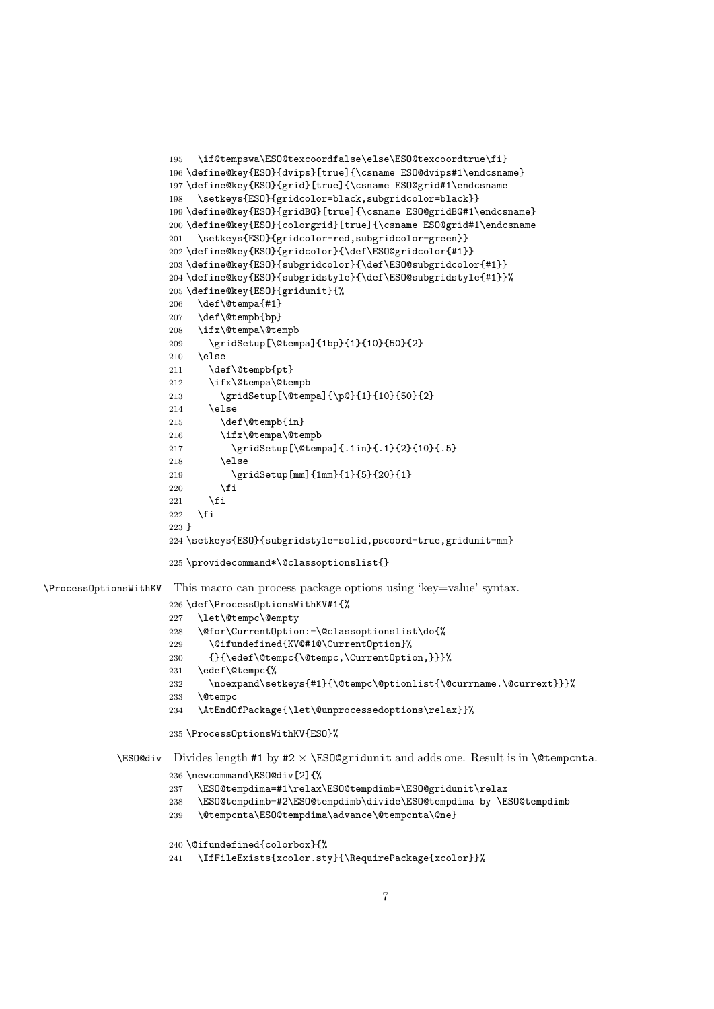```
195 \if@tempswa\ESO@texcoordfalse\else\ESO@texcoordtrue\fi}
                       196 \define@key{ESO}{dvips}[true]{\csname ESO@dvips#1\endcsname}
                       197 \define@key{ESO}{grid}[true]{\csname ESO@grid#1\endcsname
                       198 \setkeys{ESO}{gridcolor=black,subgridcolor=black}}
                       199 \define@key{ESO}{gridBG}[true]{\csname ESO@gridBG#1\endcsname}
                       200 \define@key{ESO}{colorgrid}[true]{\csname ESO@grid#1\endcsname
                       201 \setkeys{ESO}{gridcolor=red,subgridcolor=green}}
                       202 \define@key{ESO}{gridcolor}{\def\ESO@gridcolor{#1}}
                       203 \define@key{ESO}{subgridcolor}{\def\ESO@subgridcolor{#1}}
                       204 \define@key{ESO}{subgridstyle}{\def\ESO@subgridstyle{#1}}%
                       205 \define@key{ESO}{gridunit}{%
                       206 \def\@tempa{#1}
                       207 \def\@tempb{bp}
                       208 \ifx\@tempa\@tempb
                       209 \gridSetup[\@tempa]{1bp}{1}{10}{50}{2}
                       210 \else
                       211 \def\@tempb{pt}
                       212 \ifx\@tempa\@tempb
                       213 \gridSetup[\@tempa]{\p@}{1}{10}{50}{2}
                       214 \leq \leq \leq215 \def\@tempb{in}
                       216 \ifx\@tempa\@tempb
                       217 \gridSetup[\@tempa]{.1in}{.1}{2}{10}{.5}
                       218 \else
                       219 \gridSetup[mm]{1mm}{1}{5}{20}{1}
                       220 \setminusfi
                       221 \fi
                       222 \ifmmode \overline{222}\else \times 222 \times 222 \times \ifmmode \overline{222}\else response \ifmmode \overline{222}\else response \fi223 }
                       224 \setkeys{ESO}{subgridstyle=solid,pscoord=true,gridunit=mm}
                       225 \providecommand*\@classoptionslist{}
\ProcessOptionsWithKV This macro can process package options using 'key=value' syntax.
                       226 \def\ProcessOptionsWithKV#1{%
                       227 \let\@tempc\@empty
                       228 \@for\CurrentOption:=\@classoptionslist\do{%
                       229 \@ifundefined{KV@#1@\CurrentOption}%
                       230 {}{\edef\@tempc{\@tempc,\CurrentOption,}}}%
                       231 \edef\@tempc{%
                       232 \noexpand\setkeys{#1}{\@tempc\@ptionlist{\@currname.\@currext}}}%
                       233 \@tempc
                       234 \AtEndOfPackage{\let\@unprocessedoptions\relax}}%
                       235 \ProcessOptionsWithKV{ESO}%
              \EpsilonSO@div Divides length #1 by #2 \times \ESO@gridunit and adds one. Result is in \Phi \etempcnta.
                       236 \newcommand\ESO@div[2]{%
                       237 \ESO@tempdima=#1\relax\ESO@tempdimb=\ESO@gridunit\relax
                       238 \ESO@tempdimb=#2\ESO@tempdimb\divide\ESO@tempdima by \ESO@tempdimb
                       239 \@tempcnta\ESO@tempdima\advance\@tempcnta\@ne}
                       240 \@ifundefined{colorbox}{%
```

```
241 \IfFileExists{xcolor.sty}{\RequirePackage{xcolor}}%
```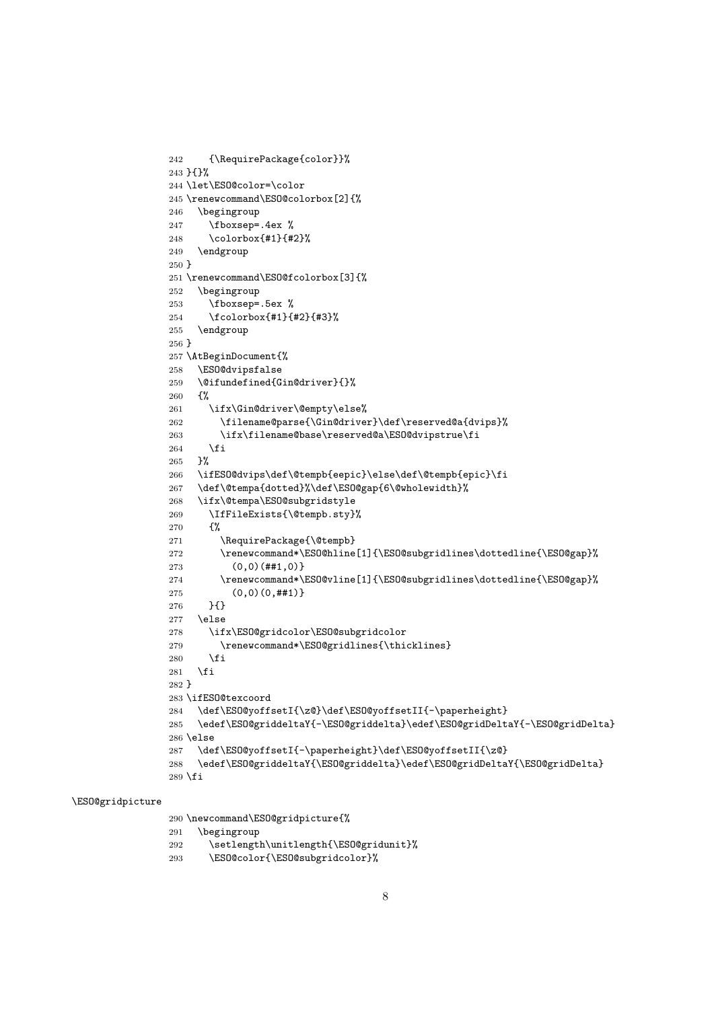```
242 {\RequirePackage{color}}%
243 }{}%
244 \let\ESO@color=\color
245 \renewcommand\ESO@colorbox[2]{%
246 \begingroup
247 \fboxsep=.4ex %
248 \colorbox{#1}{#2}%
249 \endgroup
250 }
251 \renewcommand\ESO@fcolorbox[3]{%
252 \begingroup
253 \fboxsep=.5ex %
254 \fcolorbox{#1}{#2}{#3}%
255 \endgroup
256 }
257 \AtBeginDocument{%
258 \ESO@dvipsfalse
259 \@ifundefined{Gin@driver}{}%
260 {%
261 \ifx\Gin@driver\@empty\else%
262 \filename@parse{\Gin@driver}\def\reserved@a{dvips}%
263 \ifx\filename@base\reserved@a\ESO@dvipstrue\fi
264 \fi
265 }%
266 \ifESO@dvips\def\@tempb{eepic}\else\def\@tempb{epic}\fi
267 \def\@tempa{dotted}%\def\ESO@gap{6\@wholewidth}%
268 \ifx\@tempa\ESO@subgridstyle
269 \IfFileExists{\@tempb.sty}%
270 {%
271 \RequirePackage{\@tempb}
272 \renewcommand*\ESO@hline[1]{\ESO@subgridlines\dottedline{\ESO@gap}%
273 (0,0)(##1,0)274 \renewcommand*\ESO@vline[1]{\ESO@subgridlines\dottedline{\ESO@gap}%
275 (0,0)(0,##1)}
276 }{}
277 \else
278 \ifx\ESO@gridcolor\ESO@subgridcolor
279 \renewcommand*\ESO@gridlines{\thicklines}
280 \forallfi
281 \fi
282 }
283 \ifESO@texcoord
284 \def\ESO@yoffsetI{\z@}\def\ESO@yoffsetII{-\paperheight}
285 \edef\ESO@griddeltaY{-\ESO@griddelta}\edef\ESO@gridDeltaY{-\ESO@gridDelta}
286 \else
287 \def\ESO@yoffsetI{-\paperheight}\def\ESO@yoffsetII{\z@}
288 \edef\ESO@griddeltaY{\ESO@griddelta}\edef\ESO@gridDeltaY{\ESO@gridDelta}
289 \fi
```
#### \ESO@gridpicture

 \newcommand\ESO@gridpicture{% \begingroup

- 292 \setlength\unitlength{\ESO@gridunit}%
- \ESO@color{\ESO@subgridcolor}%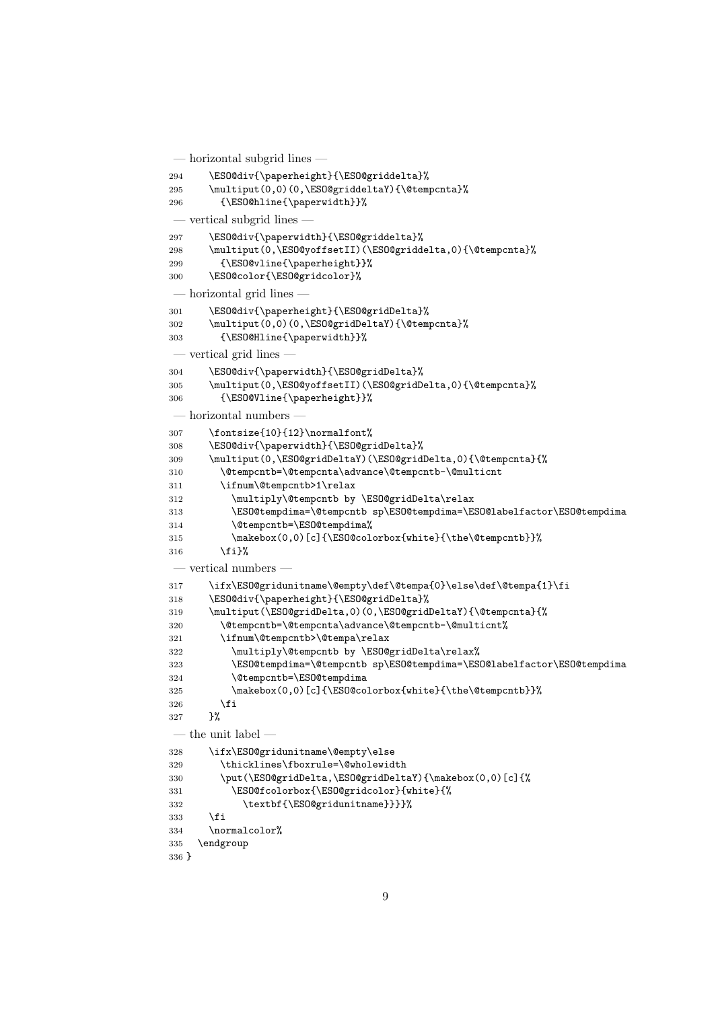```
— horizontal subgrid lines —
294 \ESO@div{\paperheight}{\ESO@griddelta}%
295 \multiput(0,0)(0,\ESO@griddeltaY){\@tempcnta}%
296 {\ESO@hline{\paperwidth}}%
— vertical subgrid lines —
297 \ESO@div{\paperwidth}{\ESO@griddelta}%
298 \multiput(0,\ESO@yoffsetII)(\ESO@griddelta,0){\@tempcnta}%
299 {\ESO@vline{\paperheight}}%
300 \ESO@color{\ESO@gridcolor}%
 — horizontal grid lines —
301 \ESO@div{\paperheight}{\ESO@gridDelta}%
302 \multiput(0,0)(0,\ESO@gridDeltaY){\@tempcnta}%
303 {\ESO@Hline{\paperwidth}}%
— vertical grid lines —
304 \ESO@div{\paperwidth}{\ESO@gridDelta}%
305 \multiput(0,\ESO@yoffsetII)(\ESO@gridDelta,0){\@tempcnta}%
306 {\ESO@Vline{\paperheight}}%
 - horizontal numbers
307 \fontsize{10}{12}\normalfont%
308 \ESO@div{\paperwidth}{\ESO@gridDelta}%
309 \multiput(0,\ESO@gridDeltaY)(\ESO@gridDelta,0){\@tempcnta}{%
310 \@tempcntb=\@tempcnta\advance\@tempcntb-\@multicnt
311 \ifnum\@tempcntb>1\relax
312 \multiply\@tempcntb by \ESO@gridDelta\relax
313 \ESO@tempdima=\@tempcntb sp\ESO@tempdima=\ESO@labelfactor\ESO@tempdima
314 \@tempcntb=\ESO@tempdima%
315 \makebox(0,0)[c]{\ESO@colorbox{white}{\the\@tempcntb}}%
316 \{f_i\}%
- vertical numbers
317 \ifx\ESO@gridunitname\@empty\def\@tempa{0}\else\def\@tempa{1}\fi
318 \ESO@div{\paperheight}{\ESO@gridDelta}%
319 \multiput(\ESO@gridDelta,0)(0,\ESO@gridDeltaY){\@tempcnta}{%
320 \@tempcntb=\@tempcnta\advance\@tempcntb-\@multicnt%
321 \ifnum\@tempcntb>\@tempa\relax
322 \multiply\@tempcntb by \ESO@gridDelta\relax%
323 \ESO@tempdima=\@tempcntb sp\ESO@tempdima=\ESO@labelfactor\ESO@tempdima
324 \@tempcntb=\ESO@tempdima
325 \makebox(0,0)[c]{\ESO@colorbox{white}{\the\@tempcntb}}%
326 \fi<br>327 }%
327— the unit label —
328 \ifx\ESO@gridunitname\@empty\else
329 \thicklines\fboxrule=\@wholewidth
330 \put(\ESO@gridDelta,\ESO@gridDeltaY){\makebox(0,0)[c]{%
331 \ESO@fcolorbox{\ESO@gridcolor}{white}{%
332 \textbf{\ESO@gridunitname}}}}%
333 \fi
334 \normalcolor%
335 \endgroup
336 }
```

```
9
```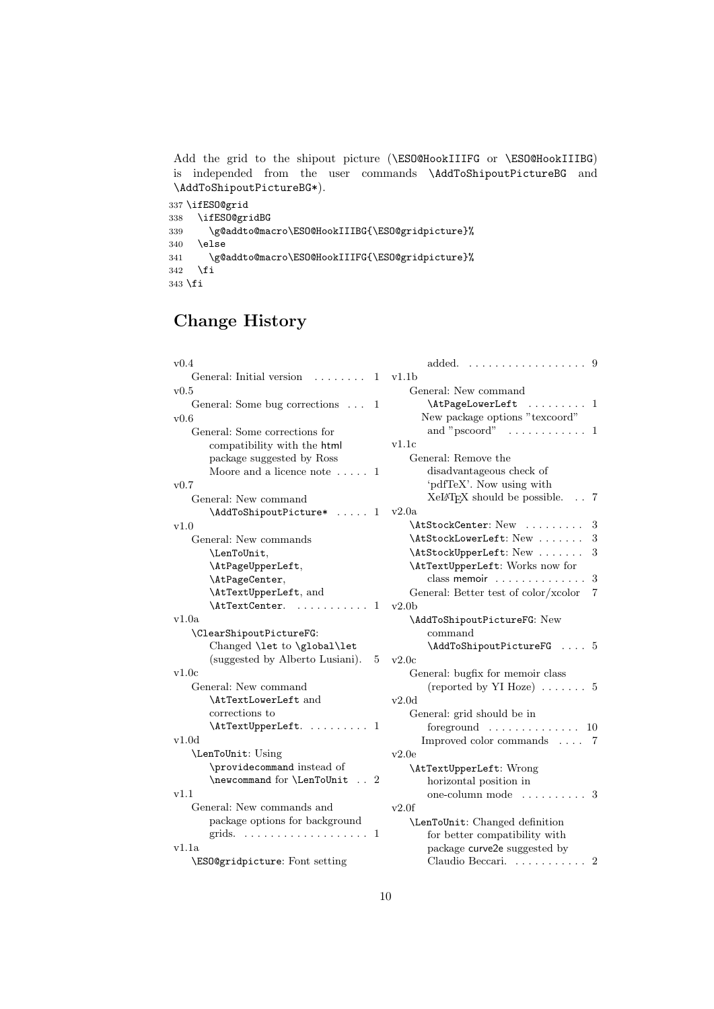Add the grid to the shipout picture (\ESO@HookIIIFG or \ESO@HookIIIBG) is independed from the user commands \AddToShipoutPictureBG and \AddToShipoutPictureBG\*).

```
337 \ifESO@grid
338 \ifESO@gridBG
339 \g@addto@macro\ESO@HookIIIBG{\ESO@gridpicture}%
340 \else
341 \g@addto@macro\ESO@HookIIIFG{\ESO@gridpicture}%
342 \fi
343 \fi
```
# Change History

| v0.4                                     | added.<br>.<br>-9                                 |  |
|------------------------------------------|---------------------------------------------------|--|
| General: Initial version<br>1            | v1.1b                                             |  |
| v0.5                                     | General: New command                              |  |
| General: Some bug corrections<br>- 1     | \AtPageLowerLeft  1                               |  |
| v0.6                                     | New package options "texcoord"                    |  |
| General: Some corrections for            | and " $pscore" \dots \dots \dots \dots$<br>-1     |  |
| compatibility with the html              | v1.1c                                             |  |
| package suggested by Ross                | General: Remove the                               |  |
| Moore and a licence note $\dots$ 1       | disadvantageous check of                          |  |
| v0.7                                     | 'pdfTeX'. Now using with                          |  |
| General: New command                     | XeI <sup>A</sup> TEX should be possible.<br>. . 7 |  |
| \AddToShipoutPicture*<br>. 1             | v2.0a                                             |  |
| v1.0                                     | \AtStockCenter: New<br>3                          |  |
| General: New commands                    | \AtStockLowerLeft: New<br>3                       |  |
| \LenToUnit,                              | 3<br>\AtStockUpperLeft: New                       |  |
| \AtPageUpperLeft,                        | \AtTextUpperLeft: Works now for                   |  |
| \AtPageCenter,                           | class memoir<br>3                                 |  |
| \AtTextUpperLeft, and                    | General: Better test of color/xcolor<br>7         |  |
| \AtTextCenter.<br>-1                     | v2.0 <sub>b</sub>                                 |  |
| v1.0a                                    | \AddToShipoutPictureFG: New                       |  |
|                                          |                                                   |  |
| \ClearShipoutPictureFG:                  | command                                           |  |
| Changed \let to \global\let              | \AddToShipoutPictureFG  5                         |  |
| (suggested by Alberto Lusiani).<br>5     | v2.0c                                             |  |
| v1.0c                                    | General: bugfix for memoir class                  |  |
| General: New command                     | (reported by YI Hoze) $\dots \dots 5$             |  |
| \AtTextLowerLeft and                     | $_{\rm v2.0d}$                                    |  |
| corrections to                           | General: grid should be in                        |  |
| \AtTextUpperLeft.  1                     | foreground $\ldots \ldots \ldots \ldots 10$       |  |
| v1.0d                                    | Improved color commands  7                        |  |
| \LenToUnit: Using                        | v2.0e                                             |  |
| \providecommand instead of               |                                                   |  |
| \newcommand for \LenToUnit<br>$\ldots$ 2 | \AtTextUpperLeft: Wrong<br>horizontal position in |  |
| v1.1                                     | one-column mode $\dots\dots\dots$ 3               |  |
| General: New commands and                | v2.0f                                             |  |
| package options for background           | \LenToUnit: Changed definition                    |  |
|                                          | for better compatibility with                     |  |
| v1.1a                                    | package curve2e suggested by                      |  |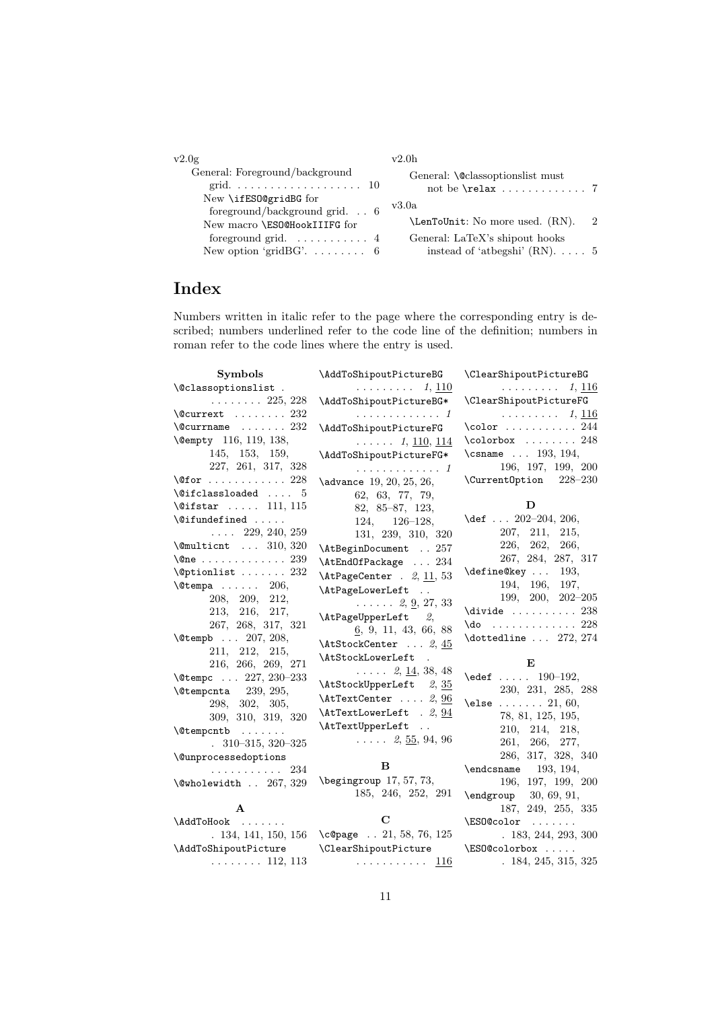| v2.0g                                                                  | v2.0h                                                                                        |               |
|------------------------------------------------------------------------|----------------------------------------------------------------------------------------------|---------------|
| General: Foreground/background<br>New \ifES0@gridBG for                | General: <i><u>Colassoptionslist must</u></i><br>not be $\texttt{relax} \dots \dots \dots 7$ |               |
| foreground/background grid. $\ldots$ 6<br>New macro \ESO@HookIIIFG for | v3.0a<br>\LenToUnit: No more used. (RN).                                                     | $\mathcal{D}$ |
| New option 'gridBG' $6$                                                | General: LaTeX's shipout hooks<br>instead of 'atbegshi' $(RN)$ 5                             |               |

# Index

Numbers written in italic refer to the page where the corresponding entry is described; numbers underlined refer to the code line of the definition; numbers in roman refer to the code lines where the entry is used.

| Symbols                                      | \AddToShipoutPictureBG                         | \ClearShipoutPictureBG                                          |
|----------------------------------------------|------------------------------------------------|-----------------------------------------------------------------|
| \@classoptionslist.                          | 1, 110<br>.                                    | 1, 116<br>$\mathbb{R}^d$ . The set of the set of $\mathbb{R}^d$ |
| $\ldots \ldots 225, 228$                     | \AddToShipoutPictureBG*                        | \ClearShipoutPictureFG                                          |
| $\text{Ccurrest} \dots \dots \dots 232$      | . <i>1</i>                                     | $\cdots \cdots \cdots 1, 116$                                   |
| $\text{C}$ currname  232                     | \AddToShipoutPictureFG                         | $\cdot$ 244                                                     |
| \@empty 116, 119, 138,                       | $\ldots$ $1, \underline{110}, \underline{114}$ | $\cdot$ $\cdot$ 248                                             |
| 145, 153, 159,                               | \AddToShipoutPictureFG*                        | \csname  193, 194,                                              |
| 227, 261, 317, 328                           | . 1                                            | 196, 197, 199, 200                                              |
| $\sqrt{\mathsf{Qfor}}$ 228                   | \advance 19, 20, 25, 26,                       | \Current0ption 228-230                                          |
| $\text{Qifclassloaded} \dots 5$              | 62, 63, 77, 79,                                |                                                                 |
| $\text{Qifstar} \dots 111, 115$              | $82, 85-87, 123,$                              | D                                                               |
| $\left\{ \bullet \right\}$                   | $124, 126-128,$                                | \def $\ldots$ 202-204, 206,                                     |
| $\ldots$ 229, 240, 259                       | 131, 239, 310, 320                             | 207, 211,<br>215,                                               |
| $\text{Comultient} \dots 310, 320$           | \AtBeginDocument  257                          | 226, 262,<br>266,                                               |
| $\{\mathsf{One}\ \dots\ \dots\ \dots\ 239\}$ | $\verb+\AtEndOfPackage + \dots 234+$           | 267, 284, 287, 317                                              |
| $\Diamond$ ptionlist  232                    | $\Lambda tPageCenter$ . 2, 11, 53              | $\define@key \dots$<br>193,                                     |
| $\text{Vetempa} \dots \dots 206,$            | \AtPageLowerLeft                               | 194, 196, 197,                                                  |
| 208, 209,<br>212,                            | $\ldots$ 2, <u>9</u> , 27, 33                  | $199, 200, 202 - 205$                                           |
| 213, 216, 217,                               | \AtPageUpperLeft 2,                            | $\div$ ivide  238                                               |
| 267, 268, 317, 321                           | 6, 9, 11, 43, 66, 88                           | $\{do \dots \dots \dots \dots \ 228$                            |
| \@tempb  207, 208,                           | $\Lambda tStockCenter \ldots 2, 45$            | $\delta$ 272, 274                                               |
| 211, 212, 215,                               | \AtStockLowerLeft<br>$\ddot{\phantom{a}}$      |                                                                 |
| 216, 266, 269, 271                           | $\ldots$ 2, 14, 38, 48                         | E                                                               |
| \@tempc  227, 230-233                        | \AtStockUpperLeft 2, 35                        | $\text{led} 190-192,$                                           |
| $\text{Utempenta}$ 239, 295,                 | $\text{AtTextCenter} \ldots 2, 96$             | 230, 231, 285, 288                                              |
| 298, 302, 305,                               | $\texttt{AttLowerLeft}$ . 2, 94                | \else $21, 60,$                                                 |
| 309, 310, 319, 320                           | \AtTextUpperLeft                               | 78, 81, 125, 195,                                               |
| \@tempcntb                                   | $\ldots$ 2, $\underline{55}$ , 94, 96          | 210, 214, 218,                                                  |
| $.310-315,320-325$                           |                                                | 261, 266, 277,                                                  |
| \@unprocessedoptions                         | в                                              | 286, 317, 328, 340                                              |
| . 234                                        | $\begin{bmatrix}$ \begingroup 17, 57, 73,      | $\end{math}$ (endcsname 193, 194,                               |
| \@wholewidth  267, 329                       | 185, 246, 252, 291                             | 196, 197, 199, 200                                              |
|                                              |                                                | $\begin{bmatrix} 30, 69, 91, \end{bmatrix}$                     |
| $\mathbf{A}$                                 | C                                              | $187,\ 249,\ 255,\ 335$                                         |
| \AddToHook                                   |                                                | \ESO@color                                                      |
|                                              | . 134, 141, 150, 156 \c@page 21, 58, 76, 125   | .183, 244, 293, 300                                             |
| \AddToShipoutPicture                         | \ClearShipoutPicture                           | \ESO@colorbox                                                   |
| $\ldots \ldots 112, 113$                     | . <u>116</u>                                   | .184, 245, 315, 325                                             |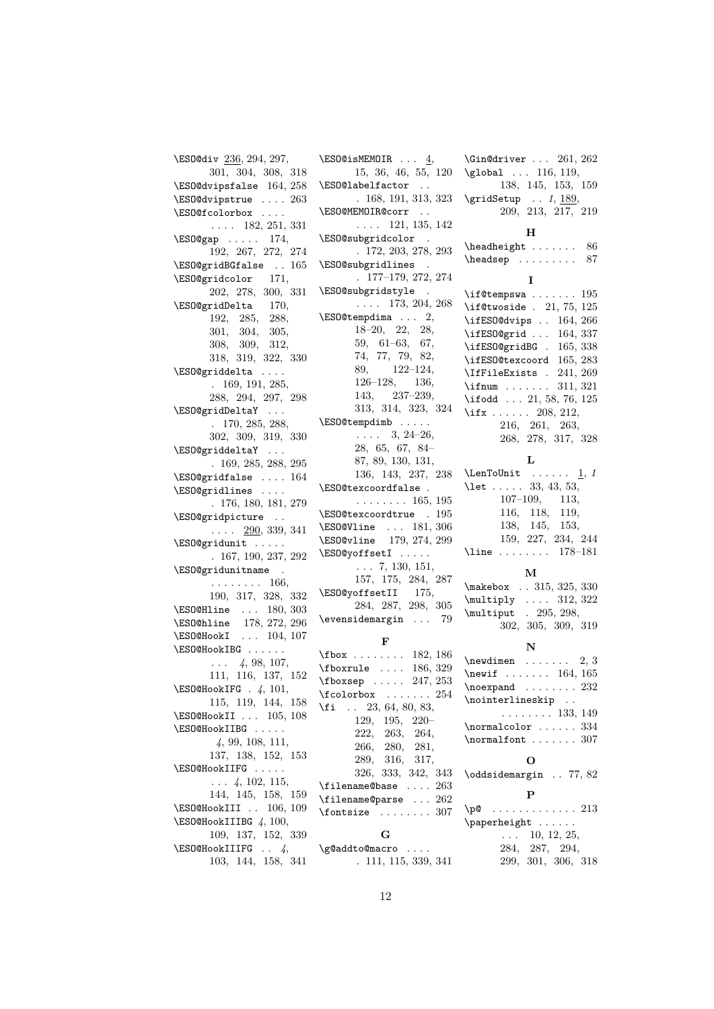```
\ESO@div 236, 294, 297,
      301, 304, 308, 318
\ESO@dvipsfalse 164, 258
\ESO@dvipstrue . . . . 263
\ESO@fcolorbox . . . .
      . . . . 182, 251, 331
\ESO@gap . . . . . 174,
      192, 267, 272, 274
\ESO@gridBGfalse . . 165
\ESO@gridcolor 171,
      202, 278, 300, 331
\ESO@gridDelta 170,
      192, 285, 288,
      301, 304, 305,
      308, 309, 312,
      318, 319, 322, 330
\ESO@griddelta . . . .
       . 169, 191, 285,
      288, 294, 297, 298
\ESO@gridDeltaY . . .
       . 170, 285, 288,
      302, 309, 319, 330
\ESO@griddeltaY . . .
      . 169, 285, 288, 295
\ESO@gridfalse . . . . 164
\ESO@gridlines . . . .
      . 176, 180, 181, 279
\ESO@gridpicture . .
      \ldots 290, 339, 341
\ESO@gridunit . . . . .
      . 167, 190, 237, 292
\ESO@gridunitname .
       . . . . . . . . 166,
       190, 317, 328, 332
\ESO@Hline . . . 180, 303
\ESO@hline 178, 272, 296
\ES0@HookI ... 104, 107
\ESO@HookIBG . . . . . .
       \ldots 4, 98, 107,
      111, 116, 137, 152
\ESO@HookIFG . 4, 101,
      115, 119, 144, 158
\ES0@HookII . . . 105, 108
\ESO@HookIIBG . . . . .
       4, 99, 108, 111,
      137, 138, 152, 153
\ESO@HookIIFG . . . . .
       \ldots 4, 102, 115,
      144, 145, 158, 159
\ES0@HookIII . . 106, 109
\ESO@HookIIIBG 4, 100,
      109, 137, 152, 339
\ESO@HookIIIFG . . 4,
       103, 144, 158, 341
```
 $\ESO@i$ sMEMOIR ...  $\underline{4}$ , 15, 36, 46, 55, 120 \ESO@labelfactor . . . 168, 191, 313, 323 \ESO@MEMOIR@corr . . . . . . 121, 135, 142 \ESO@subgridcolor . . 172, 203, 278, 293 \ESO@subgridlines . . 177–179, 272, 274 \ESO@subgridstyle .  $\ldots$  173, 204, 268  $\verb+\ESO@tempdima~~. . . ~ 2,$ 18–20, 22, 28, 59, 61–63, 67, 74, 77, 79, 82, 89, 122–124, 126–128, 136, 143, 237–239, 313, 314, 323, 324 \ESO@tempdimb . . . . .  $\ldots$  3, 24–26, 28, 65, 67, 84– 87, 89, 130, 131, 136, 143, 237, 238 \ESO@texcoordfalse . . . . . . . . . 165, 195 \ESO@texcoordtrue . 195 \ESO@Vline . . . 181, 306 \ESO@vline 179, 274, 299 \ESO@yoffsetI . . . . .  $\ldots$  7, 130, 151, 157, 175, 284, 287 \ESO@yoffsetII 175, 284, 287, 298, 305 \evensidemargin . . . 79 F \fbox . . . . . . . . 182, 186 \fboxrule . . . . 186, 329 \fboxsep . . . . . 247, 253 \fcolorbox . . . . . . . 254 \fi . . 23, 64, 80, 83, 129, 195, 220– 222, 263, 264, 266, 280, 281, 289, 316, 317, 326, 333, 342, 343 \filename@base .... 263 \filename@parse ... 262 \fontsize ........ 307 G \g@addto@macro . . . . . 111, 115, 339, 341

\global ... 116, 119, 138, 145, 153, 159  $\sqrt{\text{gridSetup}}$  . . 1, 189, 209, 213, 217, 219 H  $\headh \neq 86$  $\headsep$  . . . . . . . . . 87 I \if@tempswa . . . . . . . 195 \if@twoside . 21, 75, 125 \ifESO@dvips . . 164, 266 \ifESO@grid . . . 164, 337 \ifESO@gridBG . 165, 338 \ifESO@texcoord 165, 283 \IfFileExists . 241, 269 \ifnum . . . . . . . 311, 321 \ifodd ... 21, 58, 76, 125 \ifx . . . . . . 208, 212, 216, 261, 263, 268, 278, 317, 328 L  $\Lambda$ ...... 1, 1 \let . . . . . 33, 43, 53, 107–109, 113, 116, 118, 119, 138, 145, 153, 159, 227, 234, 244 \line . . . . . . . . 178–181 M \makebox . . 315, 325, 330 \multiply .... 312, 322 \multiput . 295, 298, 302, 305, 309, 319 N  $\neq$  . . . . . . . . 2, 3 \newif . . . . . . . 164, 165  $\noormal$  ....... 232 \nointerlineskip .. . . . . . . . . 133, 149 \normalcolor ...... 334 \normalfont . . . . . . . 307 O \oddsidemargin . . 77, 82 P \p@ . . . . . . . . . . . . . 213 \paperheight . . . . . .  $\ldots$  10, 12, 25, 284, 287, 294, 299, 301, 306, 318

\Gin@driver . . . 261, 262